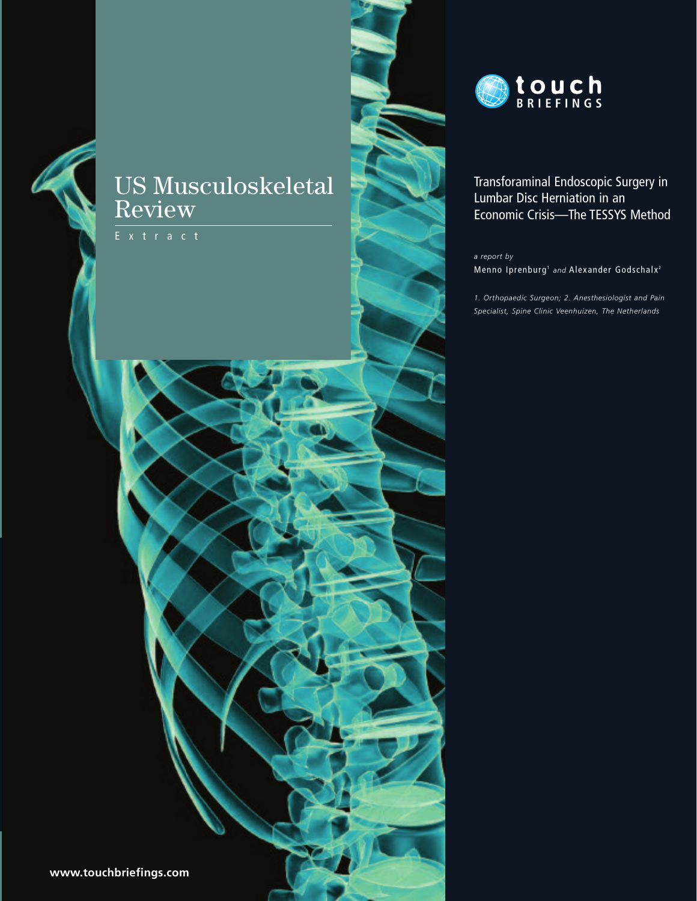# **US Musculoskeletal** Review





## Transforaminal Endoscopic Surgery in Lumbar Disc Herniation in an Economic Crisis-The TESSYS Method

a report by

Menno Iprenburg<sup>1</sup> and Alexander Godschalx<sup>2</sup>

1. Orthopaedic Surgeon; 2. Anesthesiologist and Pain Specialist, Spine Clinic Veenhuizen, The Netherlands

www.touchbriefings.com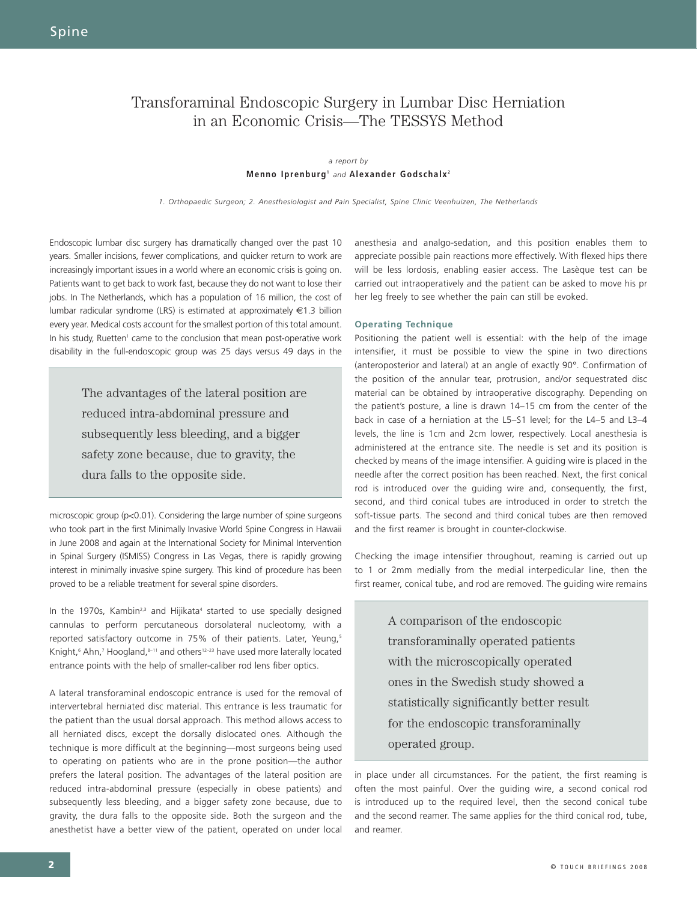# Transforaminal Endoscopic Surgery in Lumbar Disc Herniation in an Economic Crisis—The TESSYS Method

### *a report by*  **Menno Iprenburg1** *and* **Alexander Godschalx <sup>2</sup>**

*1. Orthopaedic Surgeon; 2. Anesthesiologist and Pain Specialist, Spine Clinic Veenhuizen, The Netherlands*

Endoscopic lumbar disc surgery has dramatically changed over the past 10 years. Smaller incisions, fewer complications, and quicker return to work are increasingly important issues in a world where an economic crisis is going on. Patients want to get back to work fast, because they do not want to lose their jobs. In The Netherlands, which has a population of 16 million, the cost of lumbar radicular syndrome (LRS) is estimated at approximately €1.3 billion every year. Medical costs account for the smallest portion of this total amount. In his study, Ruetten<sup>1</sup> came to the conclusion that mean post-operative work disability in the full-endoscopic group was 25 days versus 49 days in the

> The advantages of the lateral position are reduced intra-abdominal pressure and subsequently less bleeding, and a bigger safety zone because, due to gravity, the dura falls to the opposite side.

microscopic group (p<0.01). Considering the large number of spine surgeons who took part in the first Minimally Invasive World Spine Congress in Hawaii in June 2008 and again at the International Society for Minimal Intervention in Spinal Surgery (ISMISS) Congress in Las Vegas, there is rapidly growing interest in minimally invasive spine surgery. This kind of procedure has been proved to be a reliable treatment for several spine disorders.

In the 1970s, Kambin<sup>2,3</sup> and Hijikata<sup>4</sup> started to use specially designed cannulas to perform percutaneous dorsolateral nucleotomy, with a reported satisfactory outcome in 75% of their patients. Later, Yeung,<sup>5</sup> Knight,<sup>6</sup> Ahn,<sup>7</sup> Hoogland, 8-11 and others<sup>12-23</sup> have used more laterally located entrance points with the help of smaller-caliber rod lens fiber optics.

A lateral transforaminal endoscopic entrance is used for the removal of intervertebral herniated disc material. This entrance is less traumatic for the patient than the usual dorsal approach. This method allows access to all herniated discs, except the dorsally dislocated ones. Although the technique is more difficult at the beginning—most surgeons being used to operating on patients who are in the prone position—the author prefers the lateral position. The advantages of the lateral position are reduced intra-abdominal pressure (especially in obese patients) and subsequently less bleeding, and a bigger safety zone because, due to gravity, the dura falls to the opposite side. Both the surgeon and the anesthetist have a better view of the patient, operated on under local

anesthesia and analgo-sedation, and this position enables them to appreciate possible pain reactions more effectively. With flexed hips there will be less lordosis, enabling easier access. The Lasèque test can be carried out intraoperatively and the patient can be asked to move his pr her leg freely to see whether the pain can still be evoked.

### **Operating Technique**

Positioning the patient well is essential: with the help of the image intensifier, it must be possible to view the spine in two directions (anteroposterior and lateral) at an angle of exactly 90°. Confirmation of the position of the annular tear, protrusion, and/or sequestrated disc material can be obtained by intraoperative discography. Depending on the patient's posture, a line is drawn 14–15 cm from the center of the back in case of a herniation at the L5–S1 level; for the L4–5 and L3–4 levels, the line is 1cm and 2cm lower, respectively. Local anesthesia is administered at the entrance site. The needle is set and its position is checked by means of the image intensifier. A guiding wire is placed in the needle after the correct position has been reached. Next, the first conical rod is introduced over the guiding wire and, consequently, the first, second, and third conical tubes are introduced in order to stretch the soft-tissue parts. The second and third conical tubes are then removed and the first reamer is brought in counter-clockwise.

Checking the image intensifier throughout, reaming is carried out up to 1 or 2mm medially from the medial interpedicular line, then the first reamer, conical tube, and rod are removed. The guiding wire remains

> A comparison of the endoscopic transforaminally operated patients with the microscopically operated ones in the Swedish study showed a statistically significantly better result for the endoscopic transforaminally operated group.

in place under all circumstances. For the patient, the first reaming is often the most painful. Over the guiding wire, a second conical rod is introduced up to the required level, then the second conical tube and the second reamer. The same applies for the third conical rod, tube, and reamer.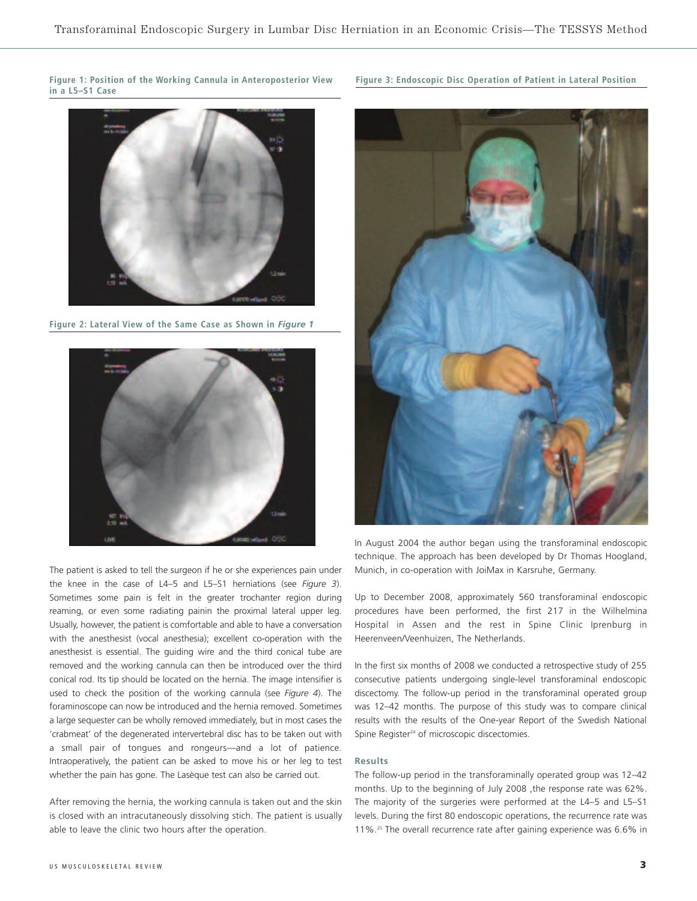**Figure 1: Position of the Working Cannula in Anteroposterior View in a L5–S1 Case**



**Figure 2: Lateral View of the Same Case as Shown in** *Figure 1*



The patient is asked to tell the surgeon if he or she experiences pain under the knee in the case of L4–5 and L5–S1 herniations (see *Figure 3*). Sometimes some pain is felt in the greater trochanter region during reaming, or even some radiating painin the proximal lateral upper leg. Usually, however, the patient is comfortable and able to have a conversation with the anesthesist (vocal anesthesia); excellent co-operation with the anesthesist is essential. The guiding wire and the third conical tube are removed and the working cannula can then be introduced over the third conical rod. Its tip should be located on the hernia. The image intensifier is used to check the position of the working cannula (see *Figure 4*). The foraminoscope can now be introduced and the hernia removed. Sometimes a large sequester can be wholly removed immediately, but in most cases the 'crabmeat' of the degenerated intervertebral disc has to be taken out with a small pair of tongues and rongeurs—and a lot of patience. Intraoperatively, the patient can be asked to move his or her leg to test whether the pain has gone. The Lasèque test can also be carried out.

After removing the hernia, the working cannula is taken out and the skin is closed with an intracutaneously dissolving stich. The patient is usually able to leave the clinic two hours after the operation.

## **Figure 3: Endoscopic Disc Operation of Patient in Lateral Position**



In August 2004 the author began using the transforaminal endoscopic technique. The approach has been developed by Dr Thomas Hoogland, Munich, in co-operation with JoiMax in Karsruhe, Germany.

Up to December 2008, approximately 560 transforaminal endoscopic procedures have been performed, the first 217 in the Wilhelmina Hospital in Assen and the rest in Spine Clinic Iprenburg in Heerenveen/Veenhuizen, The Netherlands.

In the first six months of 2008 we conducted a retrospective study of 255 consecutive patients undergoing single-level transforaminal endoscopic discectomy. The follow-up period in the transforaminal operated group was 12–42 months. The purpose of this study was to compare clinical results with the results of the One-year Report of the Swedish National Spine Register<sup>24</sup> of microscopic discectomies.

#### **Results**

The follow-up period in the transforaminally operated group was 12–42 months. Up to the beginning of July 2008 ,the response rate was 62%. The majority of the surgeries were performed at the L4–5 and L5–S1 levels. During the first 80 endoscopic operations, the recurrence rate was 11%.25 The overall recurrence rate after gaining experience was 6.6% in